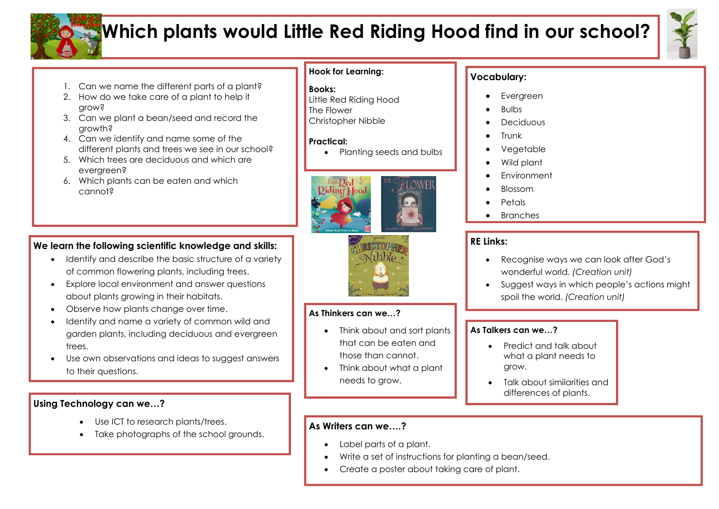

# **Which plants would Little Red Riding Hood find in our school?**



- 1. Can we name the different parts of a plant?
- 2. How do we take care of a plant to help it grow?
- 3. Can we plant a bean/seed and record the growth?
- 4. Can we identify and name some of the different plants and trees we see in our school?
- 5. Which trees are deciduous and which are evergreen?
- 6. Which plants can be eaten and which cannot?

# **Hook for Learning:**

## **Books:**

Little Red Riding Hood The Flower

Christopher Nibble

### **Practical:**

• Planting seeds and bulbs





## **As Thinkers can we…?**

- Think about and sort plants that can be eaten and those than cannot.
- Think about what a plant needs to grow.

# **Vocabulary:**

- **Evergreen**
- Bulbs
- **Deciduous**
- **Trunk**
- Vegetable
- Wild plant
- **Environment**
- Blossom
- **Petals**
- **Branches**

## **RE Links:**

- Recognise ways we can look after God's wonderful world. *(Creation unit)*
- Suggest ways in which people's actions might spoil the world. *(Creation unit)*

## **As Talkers can we…?**

- Predict and talk about what a plant needs to grow.
- Talk about similarities and differences of plants.

## **As Writers can we….?**

- Label parts of a plant.
- Write a set of instructions for planting a bean/seed.
- Create a poster about taking care of plant.

# **We learn the following scientific knowledge and skills:**

- Identify and describe the basic structure of a variety of common flowering plants, including trees.
- Explore local environment and answer questions about plants growing in their habitats.
- Observe how plants change over time.
- Identify and name a variety of common wild and garden plants, including deciduous and evergreen trees.
- Use own observations and ideas to suggest answers to their questions.

## **Using Technology can we…?**

- Use ICT to research plants/trees.
- Take photographs of the school grounds.